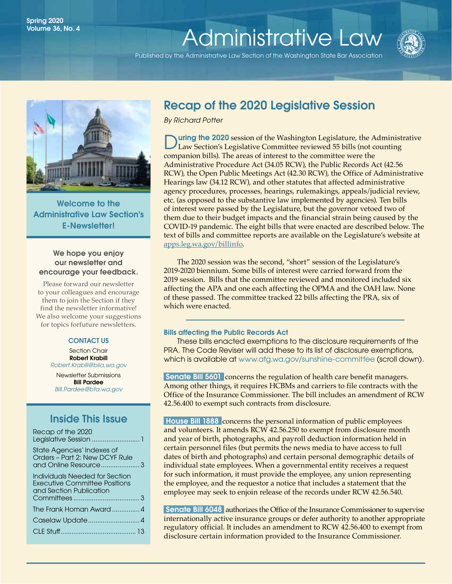# Spring 2020<br>Volume 36 No. 4 Volume 36, No. 4<br>[Administrative Law](http://www.wsba.org/lawyers/groups/administrativelaw/adminlaw.htm)

Published by the Administrative Law Section of the Washington State Bar Association





Welcome to the Administrative Law Section's E-Newsletter!

#### We hope you enjoy our newsletter and encourage your feedback.

Please forward our newsletter to your colleagues and encourage them to join the Section if they find the newsletter informative! We also welcome your suggestions for topics forfuture newsletters.

#### CONTACT US

Section Chair Robert Krabill *[Robert.Krabill@biia.wa.gov](mailto:Robert.Krabill%40biia.wa.gov?subject=)*

Newsletter Submissions Bill Pardee *[Bill.Pardee@bta.wa.gov](mailto:Bill.Pardee%40bta.wa.gov?subject=Administrative%20Law%20Section%20Newsletter)*

### Inside This Issue

| Recap of the 2020<br>Legislative Session  1                                                       |  |
|---------------------------------------------------------------------------------------------------|--|
| State Agencies' Indexes of<br>Orders - Part 2: New DCYF Rule<br>and Online Resource  3            |  |
| Individuals Needed for Section<br><b>Executive Committee Positions</b><br>and Section Publication |  |
| The Frank Homan Award  4                                                                          |  |
|                                                                                                   |  |
|                                                                                                   |  |

## Recap of the 2020 Legislative Session

*By Richard Potter*

uring the 2020 session of the Washington Legislature, the Administrative Law Section's Legislative Committee reviewed 55 bills (not counting companion bills). The areas of interest to the committee were the Administrative Procedure Act (34.05 RCW), the Public Records Act (42.56 RCW), the Open Public Meetings Act (42.30 RCW), the Office of Administrative Hearings law (34.12 RCW), and other statutes that affected administrative agency procedures, processes, hearings, rulemakings, appeals/judicial review, etc. (as opposed to the substantive law implemented by agencies). Ten bills of interest were passed by the Legislature, but the governor vetoed two of them due to their budget impacts and the financial strain being caused by the COVID-19 pandemic. The eight bills that were enacted are described below. The text of bills and committee reports are available on the Legislature's website at [apps.leg.wa.gov/billinfo.](https://apps.leg.wa.gov/billinfo/)

The 2020 session was the second, "short" session of the Legislature's 2019-2020 biennium. Some bills of interest were carried forward from the 2019 session. Bills that the committee reviewed and monitored included six affecting the APA and one each affecting the OPMA and the OAH law. None of these passed. The committee tracked 22 bills affecting the PRA, six of which were enacted.

#### Bills affecting the Public Records Act

These bills enacted exemptions to the disclosure requirements of the PRA. The Code Reviser will add these to its list of disclosure exemptions, which is available at [www.atg.wa.gov/sunshine-committee](https://www.atg.wa.gov/sunshine-committee) (scroll down).

Senate Bill 5601 concerns the regulation of health care benefit managers. Among other things, it requires HCBMs and carriers to file contracts with the Office of the Insurance Commissioner. The bill includes an amendment of RCW 42.56.400 to exempt such contracts from disclosure.

 House Bill 1888concerns the personal information of public employees and volunteers. It amends RCW 42.56.250 to exempt from disclosure month and year of birth, photographs, and payroll deduction information held in certain personnel files (but permits the news media to have access to full dates of birth and photographs) and certain personal demographic details of individual state employees. When a governmental entity receives a request for such information, it must provide the employee, any union representing the employee, and the requestor a notice that includes a statement that the employee may seek to enjoin release of the records under RCW 42.56.540.

 Senate Bill 6048authorizes the Office of the Insurance Commissioner to supervise internationally active insurance groups or defer authority to another appropriate regulatory official. It includes an amendment to RCW 42.56.400 to exempt from disclosure certain information provided to the Insurance Commissioner.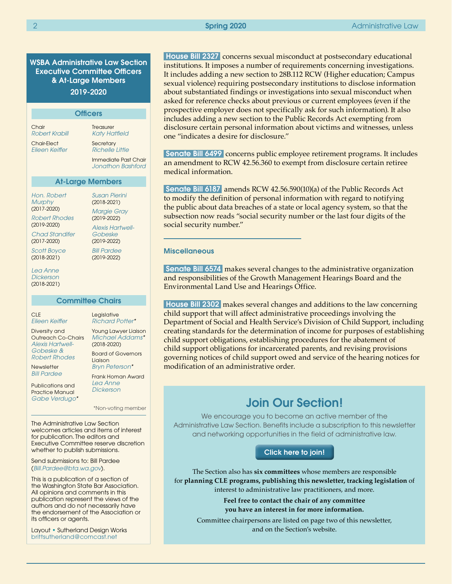WSBA Administrative Law Section Executive Committee Officers & At-Large Members 2019-2020

| <b>Officers</b>                                                                                                                                                   |                                                                                                                                                                                    |  |  |
|-------------------------------------------------------------------------------------------------------------------------------------------------------------------|------------------------------------------------------------------------------------------------------------------------------------------------------------------------------------|--|--|
| Chair<br>Robert Krabill                                                                                                                                           | <b>Treasurer</b><br>Katy Hatfield                                                                                                                                                  |  |  |
| <b>Chair-Elect</b><br>Fileen Keiffer                                                                                                                              | Secretary<br><b>Richelle Little</b>                                                                                                                                                |  |  |
|                                                                                                                                                                   | Immediate Past Chair<br>Jonathon Bashford                                                                                                                                          |  |  |
| <b>At-Large Members</b>                                                                                                                                           |                                                                                                                                                                                    |  |  |
| Hon. Robert<br>Murphy<br>$(2017 - 2020)$<br><b>Robert Rhodes</b><br>$(2019 - 2020)$<br>Chad Standifer<br>$(2017 - 2020)$<br><b>Scott Boyce</b><br>$(2018 - 2021)$ | <b>Susan Pierini</b><br>$(2018 - 2021)$<br><b>Margie Gray</b><br>$(2019 - 2022)$<br><b>Alexis Hartwell-</b><br>Gobeske<br>$(2019 - 2022)$<br><b>Bill Pardee</b><br>$(2019 - 2022)$ |  |  |
| Lea Anne<br>Dickerson                                                                                                                                             |                                                                                                                                                                                    |  |  |

Lea Ann *Dickerso* (2018-2021)

**Committee Chairs** 

CLE *[Eileen Keiffer](https://www.mywsba.org/PersonifyEbusiness/LegalDirectory/LegalProfile.aspx?Usr_ID=000000051598)*

Diversity and Outreach Co-Chairs *[Alexis Hartwell-](https://www.mywsba.org/PersonifyEbusiness/LegalDirectory/LegalProfile.aspx?Usr_ID=000000047222)[Gobeske](https://www.mywsba.org/PersonifyEbusiness/LegalDirectory/LegalProfile.aspx?Usr_ID=000000047222) & [Robert Rhodes](https://www.mywsba.org/PersonifyEbusiness/LegalDirectory/LegalProfile.aspx?Usr_ID=000000031089)*

*[Richard Potter\\*](https://www.mywsba.org/PersonifyEbusiness/LegalDirectory/LegalProfile.aspx?Usr_ID=19196)* Young Lawyer Liaison *[Michael Addams\\*](https://www.mywsba.org/PersonifyEbusiness/LegalDirectory/LegalProfile.aspx?Usr_ID=000000047799)*  (2018-2020) Board of Governors Liaison *[Bryn Peterson](https://www.mywsba.org/PersonifyEbusiness/LegalDirectory/LegalProfile.aspx?Usr_ID=000000030261)\**

Legislative

**Newsletter** *[Bill Pardee](https://www.mywsba.org/PersonifyEbusiness/LegalDirectory/LegalProfile.aspx?Usr_ID=000000031644)*

Publications and Practice Manual *[Gabe Verdugo](https://www.mywsba.org/PersonifyEbusiness/LegalDirectory/LegalProfile.aspx?Usr_ID=44154)\** Frank Homan Award *[Lea Anne](https://www.mywsba.org/PersonifyEbusiness/Default.aspx?TabID=1538&Usr_ID=000000047216)  [Dickerson](https://www.mywsba.org/PersonifyEbusiness/Default.aspx?TabID=1538&Usr_ID=000000047216)*

\*Non-voting member

The Administrative Law Section welcomes articles and items of interest for publication. The editors and Executive Committee reserve discretion whether to publish submissions.

Send submissions to: Bill Pardee (*[Bill.Pardee@bta.wa.gov](mailto:Bill.Pardee%40bta.wa.gov?subject=Administrative%20Law%20Section%20Newsletter)*).

This is a publication of a section of the Washington State Bar Association. All opinions and comments in this publication represent the views of the authors and do not necessarily have the endorsement of the Association or its officers or agents.

Layout • Sutherland Design Works [brittsutherland@comcast.net](mailto:brittsutherland%40comcast.net?subject=WSBA)

 House Bill 2327concerns sexual misconduct at postsecondary educational institutions. It imposes a number of requirements concerning investigations. It includes adding a new section to 28B.112 RCW (Higher education; Campus sexual violence) requiring postsecondary institutions to disclose information about substantiated findings or investigations into sexual misconduct when asked for reference checks about previous or current employees (even if the prospective employer does not specifically ask for such information). It also includes adding a new section to the Public Records Act exempting from disclosure certain personal information about victims and witnesses, unless one "indicates a desire for disclosure."

Senate Bill 6499 concerns public employee retirement programs. It includes an amendment to RCW 42.56.360 to exempt from disclosure certain retiree medical information.

 Senate Bill 6187amends RCW 42.56.590(10)(a) of the Public Records Act to modify the definition of personal information with regard to notifying the public about data breaches of a state or local agency system, so that the subsection now reads "social security number or the last four digits of the social security number."

#### **Miscellaneous**

 Senate Bill 6574makes several changes to the administrative organization and responsibilities of the Growth Management Hearings Board and the Environmental Land Use and Hearings Office.

 House Bill 2302makes several changes and additions to the law concerning child support that will affect administrative proceedings involving the Department of Social and Health Service's Division of Child Support, including creating standards for the determination of income for purposes of establishing child support obligations, establishing procedures for the abatement of child support obligations for incarcerated parents, and revising provisions governing notices of child support owed and service of the hearing notices for modification of an administrative order.

## Join Our Section!

We encourage you to become an active member of the Administrative Law Section. Benefits include a subscription to this newsletter and networking opportunities in the field of administrative law.

#### [Click here to join!]( https://www.mywsba.org/PersonifyEbusiness/CLEStore/Administrative-Law-Section/ProductDetail/1)

The Section also has **six committees** whose members are responsible for **planning CLE programs, publishing this newsletter, tracking legislation** of interest to administrative law practitioners, and more.

> **Feel free to contact the chair of any committee you have an interest in for more information.**

Committee chairpersons are listed on page two of this newsletter, and on the Section's website.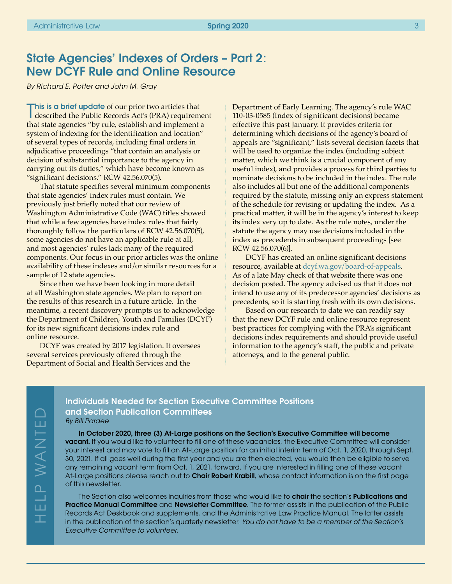## State Agencies' Indexes of Orders – Part 2: New DCYF Rule and Online Resource

*By Richard E. Potter and John M. Gray*

This is a brief update of our prior two articles that<br>described the Public Records Act's (PRA) requirem described the Public Records Act's (PRA) requirement that state agencies "by rule, establish and implement a system of indexing for the identification and location" of several types of records, including final orders in adjudicative proceedings "that contain an analysis or decision of substantial importance to the agency in carrying out its duties," which have become known as "significant decisions." RCW 42.56.070(5).

That statute specifies several minimum components that state agencies' index rules must contain. We previously just briefly noted that our review of Washington Administrative Code (WAC) titles showed that while a few agencies have index rules that fairly thoroughly follow the particulars of RCW 42.56.070(5), some agencies do not have an applicable rule at all, and most agencies' rules lack many of the required components. Our focus in our prior articles was the online availability of these indexes and/or similar resources for a sample of 12 state agencies.

Since then we have been looking in more detail at all Washington state agencies. We plan to report on the results of this research in a future article. In the meantime, a recent discovery prompts us to acknowledge the Department of Children, Youth and Families (DCYF) for its new significant decisions index rule and online resource.

DCYF was created by 2017 legislation. It oversees several services previously offered through the Department of Social and Health Services and the

HELP WANTEDLP WANTED

Ш  $\top$  Department of Early Learning. The agency's rule WAC 110-03-0585 (Index of significant decisions) became effective this past January. It provides criteria for determining which decisions of the agency's board of appeals are "significant," lists several decision facets that will be used to organize the index (including subject matter, which we think is a crucial component of any useful index), and provides a process for third parties to nominate decisions to be included in the index. The rule also includes all but one of the additional components required by the statute, missing only an express statement of the schedule for revising or updating the index. As a practical matter, it will be in the agency's interest to keep its index very up to date. As the rule notes, under the statute the agency may use decisions included in the index as precedents in subsequent proceedings [see RCW 42.56.070(6)].

DCYF has created an online significant decisions resource, available at [dcyf.wa.gov/board-of-appeals](https://dcyf.wa.gov/board-of-appeals). As of a late May check of that website there was one decision posted. The agency advised us that it does not intend to use any of its predecessor agencies' decisions as precedents, so it is starting fresh with its own decisions.

Based on our research to date we can readily say that the new DCYF rule and online resource represent best practices for complying with the PRA's significant decisions index requirements and should provide useful information to the agency's staff, the public and private attorneys, and to the general public.

#### Individuals Needed for Section Executive Committee Positions and Section Publication Committees *By Bill Pardee*

In October 2020, three (3) At-Large positions on the Section's Executive Committee will become vacant. If you would like to volunteer to fill one of these vacancies, the Executive Committee will consider your interest and may vote to fill an At-Large position for an initial interim term of Oct. 1, 2020, through Sept. 30, 2021. If all goes well during the first year and you are then elected, you would then be eligible to serve any remaining vacant term from Oct. 1, 2021, forward. If you are interested in filling one of these vacant At-Large positions please reach out to **Chair Robert Krabill**, whose contact information is on the first page of this newsletter.

The Section also welcomes inquiries from those who would like to **chair** the section's **Publications and** Practice Manual Committee and Newsletter Committee. The former assists in the publication of the Public Records Act Deskbook and supplements, and the Administrative Law Practice Manual. The latter assists in the publication of the section's quaterly newsletter. *You do not have to be a member of the Section's Executive Committee to volunteer.*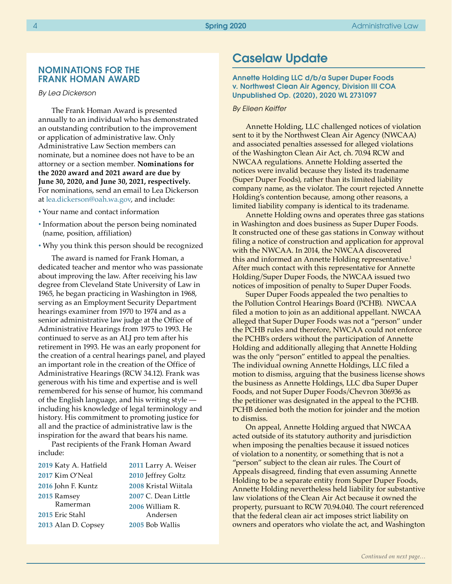#### NOMINATIONS FOR THE FRANK HOMAN AWARD

#### *By Lea Dickerson*

The Frank Homan Award is presented annually to an individual who has demonstrated an outstanding contribution to the improvement or application of administrative law. Only Administrative Law Section members can nominate, but a nominee does not have to be an attorney or a section member. **Nominations for the 2020 award and 2021 award are due by June 30, 2020, and June 30, 2021, respectively.** For nominations, send an email to Lea Dickerson at [lea.dickerson@oah.wa.gov](mailto:lea.dickerson@oah.wa.gov), and include:

- Your name and contact information
- Information about the person being nominated (name, position, affiliation)
- Why you think this person should be recognized

The award is named for Frank Homan, a dedicated teacher and mentor who was passionate about improving the law. After receiving his law degree from Cleveland State University of Law in 1965, he began practicing in Washington in 1968, serving as an Employment Security Department hearings examiner from 1970 to 1974 and as a senior administrative law judge at the Office of Administrative Hearings from 1975 to 1993. He continued to serve as an ALJ pro tem after his retirement in 1993. He was an early proponent for the creation of a central hearings panel, and played an important role in the creation of the Office of Administrative Hearings (RCW 34.12). Frank was generous with his time and expertise and is well remembered for his sense of humor, his command of the English language, and his writing style including his knowledge of legal terminology and history. His commitment to promoting justice for all and the practice of administrative law is the inspiration for the award that bears his name.

Past recipients of the Frank Homan Award include:

| 2019 Katy A. Hatfield | 2011 Larry A. Weiser |
|-----------------------|----------------------|
| 2017 Kim O'Neal       | 2010 Jeffrey Goltz   |
| 2016 John F. Kuntz    | 2008 Kristal Wiitala |
| 2015 Ramsey           | 2007 C. Dean Little  |
| Ramerman              | 2006 William R.      |
| 2015 Eric Stahl       | Andersen             |
| 2013 Alan D. Copsey   | 2005 Bob Wallis      |
|                       |                      |

## Caselaw Update

#### Annette Holding LLC d/b/a Super Duper Foods v. Northwest Clean Air Agency, Division III COA Unpublished Op. (2020), 2020 WL 2731097

#### *By Eileen Keiffer*

Annette Holding, LLC challenged notices of violation sent to it by the Northwest Clean Air Agency (NWCAA) and associated penalties assessed for alleged violations of the Washington Clean Air Act, ch. 70.94 RCW and NWCAA regulations. Annette Holding asserted the notices were invalid because they listed its tradename (Super Duper Foods), rather than its limited liability company name, as the violator. The court rejected Annette Holding's contention because, among other reasons, a limited liability company is identical to its tradename.

Annette Holding owns and operates three gas stations in Washington and does business as Super Duper Foods. It constructed one of these gas stations in Conway without filing a notice of construction and application for approval with the NWCAA. In 2014, the NWCAA discovered this and informed an Annette Holding representative.<sup>1</sup> After much contact with this representative for Annette Holding/Super Duper Foods, the NWCAA issued two notices of imposition of penalty to Super Duper Foods.

Super Duper Foods appealed the two penalties to the Pollution Control Hearings Board (PCHB). NWCAA filed a motion to join as an additional appellant. NWCAA alleged that Super Duper Foods was not a "person" under the PCHB rules and therefore, NWCAA could not enforce the PCHB's orders without the participation of Annette Holding and additionally alleging that Annette Holding was the only "person" entitled to appeal the penalties. The individual owning Annette Holdings, LLC filed a motion to dismiss, arguing that the business license shows the business as Annette Holdings, LLC dba Super Duper Foods, and not Super Duper Foods/Chevron 306936 as the petitioner was designated in the appeal to the PCHB. PCHB denied both the motion for joinder and the motion to dismiss.

On appeal, Annette Holding argued that NWCAA acted outside of its statutory authority and jurisdiction when imposing the penalties because it issued notices of violation to a nonentity, or something that is not a "person" subject to the clean air rules. The Court of Appeals disagreed, finding that even assuming Annette Holding to be a separate entity from Super Duper Foods, Annette Holding nevertheless held liability for substantive law violations of the Clean Air Act because it owned the property, pursuant to RCW 70.94.040. The court referenced that the federal clean air act imposes strict liability on owners and operators who violate the act, and Washington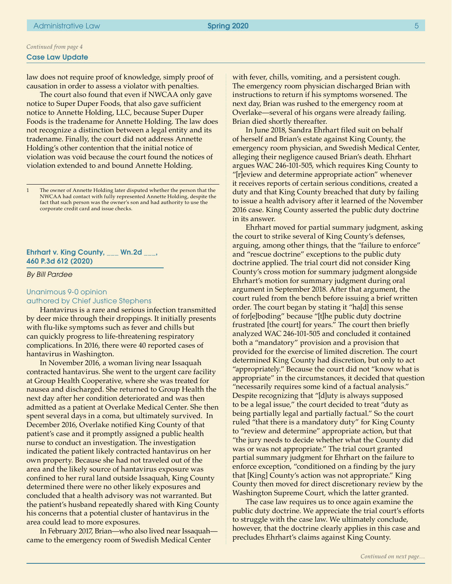law does not require proof of knowledge, simply proof of causation in order to assess a violator with penalties.

The court also found that even if NWCAA only gave notice to Super Duper Foods, that also gave sufficient notice to Annette Holding, LLC, because Super Duper Foods is the tradename for Annette Holding. The law does not recognize a distinction between a legal entity and its tradename. Finally, the court did not address Annette Holding's other contention that the initial notice of violation was void because the court found the notices of violation extended to and bound Annette Holding.

1 The owner of Annette Holding later disputed whether the person that the NWCAA had contact with fully represented Annette Holding, despite the fact that such person was the owner's son and had authority to use the corporate credit card and issue checks.

#### Ehrhart v. King County,  $\frac{1}{2}$  Wn.2d  $\frac{1}{2}$ , 460 P.3d 612 (2020)

#### *By Bill Pardee*

### Unanimous 9-0 opinion

#### authored by Chief Justice Stephens

Hantavirus is a rare and serious infection transmitted by deer mice through their droppings. It initially presents with flu-like symptoms such as fever and chills but can quickly progress to life-threatening respiratory complications. In 2016, there were 40 reported cases of hantavirus in Washington.

In November 2016, a woman living near Issaquah contracted hantavirus. She went to the urgent care facility at Group Health Cooperative, where she was treated for nausea and discharged. She returned to Group Health the next day after her condition deteriorated and was then admitted as a patient at Overlake Medical Center. She then spent several days in a coma, but ultimately survived. In December 2016, Overlake notified King County of that patient's case and it promptly assigned a public health nurse to conduct an investigation. The investigation indicated the patient likely contracted hantavirus on her own property. Because she had not traveled out of the area and the likely source of hantavirus exposure was confined to her rural land outside Issaquah, King County determined there were no other likely exposures and concluded that a health advisory was not warranted. But the patient's husband repeatedly shared with King County his concerns that a potential cluster of hantavirus in the area could lead to more exposures.

In February 2017, Brian—who also lived near Issaquah came to the emergency room of Swedish Medical Center

with fever, chills, vomiting, and a persistent cough. The emergency room physician discharged Brian with instructions to return if his symptoms worsened. The next day, Brian was rushed to the emergency room at Overlake—several of his organs were already failing. Brian died shortly thereafter.

In June 2018, Sandra Ehrhart filed suit on behalf of herself and Brian's estate against King County, the emergency room physician, and Swedish Medical Center, alleging their negligence caused Brian's death. Ehrhart argues WAC 246-101-505, which requires King County to "[r]eview and determine appropriate action" whenever it receives reports of certain serious conditions, created a duty and that King County breached that duty by failing to issue a health advisory after it learned of the November 2016 case. King County asserted the public duty doctrine in its answer.

Ehrhart moved for partial summary judgment, asking the court to strike several of King County's defenses, arguing, among other things, that the "failure to enforce" and "rescue doctrine" exceptions to the public duty doctrine applied. The trial court did not consider King County's cross motion for summary judgment alongside Ehrhart's motion for summary judgment during oral argument in September 2018. After that argument, the court ruled from the bench before issuing a brief written order. The court began by stating it "ha[d] this sense of for[e]boding" because "[t]he public duty doctrine frustrated [the court] for years." The court then briefly analyzed WAC 246-101-505 and concluded it contained both a "mandatory" provision and a provision that provided for the exercise of limited discretion. The court determined King County had discretion, but only to act "appropriately." Because the court did not "know what is appropriate" in the circumstances, it decided that question "necessarily requires some kind of a factual analysis." Despite recognizing that "[d]uty is always supposed to be a legal issue," the court decided to treat "duty as being partially legal and partially factual." So the court ruled "that there is a mandatory duty" for King County to "review and determine" appropriate action, but that "the jury needs to decide whether what the County did was or was not appropriate." The trial court granted partial summary judgment for Ehrhart on the failure to enforce exception, "conditioned on a finding by the jury that [King] County's action was not appropriate." King County then moved for direct discretionary review by the Washington Supreme Court, which the latter granted.

The case law requires us to once again examine the public duty doctrine. We appreciate the trial court's efforts to struggle with the case law. We ultimately conclude, however, that the doctrine clearly applies in this case and precludes Ehrhart's claims against King County.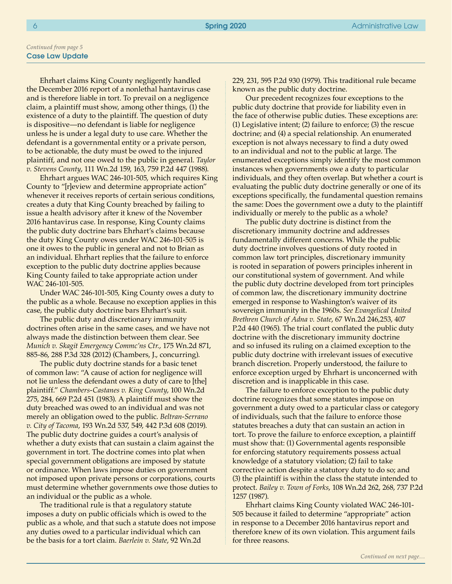Ehrhart claims King County negligently handled the December 2016 report of a nonlethal hantavirus case and is therefore liable in tort. To prevail on a negligence claim, a plaintiff must show, among other things, (1) the existence of a duty to the plaintiff. The question of duty is dispositive—no defendant is liable for negligence unless he is under a legal duty to use care. Whether the defendant is a governmental entity or a private person, to be actionable, the duty must be owed to the injured plaintiff, and not one owed to the public in general. *Taylor v. Stevens County*, 111 Wn.2d 159, 163, 759 P.2d 447 (1988).

Ehrhart argues WAC 246-101-505, which requires King County to "[r]eview and determine appropriate action" whenever it receives reports of certain serious conditions, creates a duty that King County breached by failing to issue a health advisory after it knew of the November 2016 hantavirus case. In response, King County claims the public duty doctrine bars Ehrhart's claims because the duty King County owes under WAC 246-101-505 is one it owes to the public in general and not to Brian as an individual. Ehrhart replies that the failure to enforce exception to the public duty doctrine applies because King County failed to take appropriate action under WAC 246-101-505.

Under WAC 246-101-505, King County owes a duty to the public as a whole. Because no exception applies in this case, the public duty doctrine bars Ehrhart's suit.

The public duty and discretionary immunity doctrines often arise in the same cases, and we have not always made the distinction between them clear. See *Munich v. Skagit Emergency Commc'ns Ctr.*, 175 Wn.2d 871, 885-86, 288 P.3d 328 (2012) (Chambers, J., concurring).

The public duty doctrine stands for a basic tenet of common law: "A cause of action for negligence will not lie unless the defendant owes a duty of care to [the] plaintiff." *Chambers-Castanes v. King County*, 100 Wn.2d 275, 284, 669 P.2d 451 (1983). A plaintiff must show the duty breached was owed to an individual and was not merely an obligation owed to the public. *Beltran-Serrano v. City of Tacoma*, 193 Wn.2d 537, 549, 442 P.3d 608 (2019). The public duty doctrine guides a court's analysis of whether a duty exists that can sustain a claim against the government in tort. The doctrine comes into plat when special government obligations are imposed by statute or ordinance. When laws impose duties on government not imposed upon private persons or corporations, courts must determine whether governments owe those duties to an individual or the public as a whole.

The traditional rule is that a regulatory statute imposes a duty on public officials which is owed to the public as a whole, and that such a statute does not impose any duties owed to a particular individual which can be the basis for a tort claim. *Baerlein v. State*, 92 Wn.2d

229, 231, 595 P.2d 930 (1979). This traditional rule became known as the public duty doctrine.

Our precedent recognizes four exceptions to the public duty doctrine that provide for liability even in the face of otherwise public duties. These exceptions are: (1) Legislative intent; (2) failure to enforce; (3) the rescue doctrine; and (4) a special relationship. An enumerated exception is not always necessary to find a duty owed to an individual and not to the public at large. The enumerated exceptions simply identify the most common instances when governments owe a duty to particular individuals, and they often overlap. But whether a court is evaluating the public duty doctrine generally or one of its exceptions specifically, the fundamental question remains the same: Does the government owe a duty to the plaintiff individually or merely to the public as a whole?

The public duty doctrine is distinct from the discretionary immunity doctrine and addresses fundamentally different concerns. While the public duty doctrine involves questions of duty rooted in common law tort principles, discretionary immunity is rooted in separation of powers principles inherent in our constitutional system of government. And while the public duty doctrine developed from tort principles of common law, the discretionary immunity doctrine emerged in response to Washington's waiver of its sovereign immunity in the 1960s. *See Evangelical United Brethren Church of Adna v. State*, 67 Wn.2d 246,253, 407 P.2d 440 (1965). The trial court conflated the public duty doctrine with the discretionary immunity doctrine and so infused its ruling on a claimed exception to the public duty doctrine with irrelevant issues of executive branch discretion. Properly understood, the failure to enforce exception urged by Ehrhart is unconcerned with discretion and is inapplicable in this case.

The failure to enforce exception to the public duty doctrine recognizes that some statutes impose on government a duty owed to a particular class or category of individuals, such that the failure to enforce those statutes breaches a duty that can sustain an action in tort. To prove the failure to enforce exception, a plaintiff must show that: (1) Governmental agents responsible for enforcing statutory requirements possess actual knowledge of a statutory violation; (2) fail to take corrective action despite a statutory duty to do so; and (3) the plaintiff is within the class the statute intended to protect. *Bailey v. Town of Forks*, 108 Wn.2d 262, 268, 737 P.2d 1257 (1987).

Ehrhart claims King County violated WAC 246-101- 505 because it failed to determine "appropriate" action in response to a December 2016 hantavirus report and therefore knew of its own violation. This argument fails for three reasons.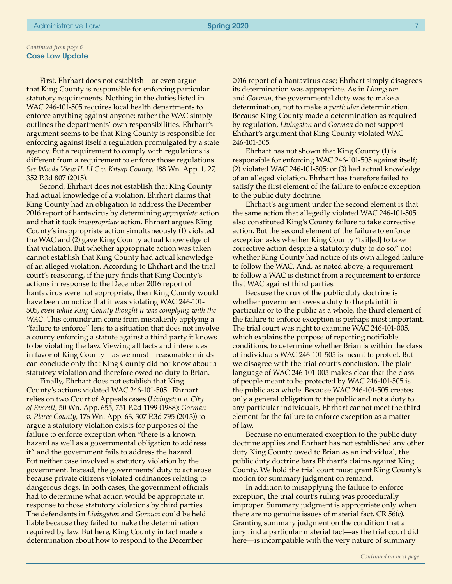First, Ehrhart does not establish—or even argue that King County is responsible for enforcing particular statutory requirements. Nothing in the duties listed in WAC 246-101-505 requires local health departments to enforce anything against anyone; rather the WAC simply outlines the departments' own responsibilities. Ehrhart's argument seems to be that King County is responsible for enforcing against itself a regulation promulgated by a state agency. But a requirement to comply with regulations is different from a requirement to enforce those regulations. *See Woods View II, LLC v. Kitsap County*, 188 Wn. App. 1, 27, 352 P.3d 807 (2015).

Second, Ehrhart does not establish that King County had actual knowledge of a violation. Ehrhart claims that King County had an obligation to address the December 2016 report of hantavirus by determining *appropriate* action and that it took *inappropriate* action. Ehrhart argues King County's inappropriate action simultaneously (1) violated the WAC and (2) gave King County actual knowledge of that violation. But whether appropriate action was taken cannot establish that King County had actual knowledge of an alleged violation. According to Ehrhart and the trial court's reasoning, if the jury finds that King County's actions in response to the December 2016 report of hantavirus were not appropriate, then King County would have been on notice that it was violating WAC 246-101- 505, *even while King County thought it was complying with the WAC*. This conundrum come from mistakenly applying a "failure to enforce" lens to a situation that does not involve a county enforcing a statute against a third party it knows to be violating the law. Viewing all facts and inferences in favor of King County—as we must—reasonable minds can conclude only that King County did not know about a statutory violation and therefore owed no duty to Brian.

Finally, Ehrhart does not establish that King County's actions violated WAC 246-101-505. Ehrhart relies on two Court of Appeals cases (*Livingston v. City of Everett*, 50 Wn. App. 655, 751 P.2d 1199 (1988); *Gorman v. Pierce County*, 176 Wn. App. 63, 307 P.3d 795 (2013)) to argue a statutory violation exists for purposes of the failure to enforce exception when "there is a known hazard as well as a governmental obligation to address it" and the government fails to address the hazard. But neither case involved a statutory violation by the government. Instead, the governments' duty to act arose because private citizens violated ordinances relating to dangerous dogs. In both cases, the government officials had to determine what action would be appropriate in response to those statutory violations by third parties. The defendants in *Livingston* and *Gorman* could be held liable because they failed to make the determination required by law. But here, King County in fact made a determination about how to respond to the December

2016 report of a hantavirus case; Ehrhart simply disagrees its determination was appropriate. As in *Livingston*  and *Gorman*, the governmental duty was to make a determination, not to make a *particular* determination. Because King County made a determination as required by regulation, *Livingston* and *Gorman* do not support Ehrhart's argument that King County violated WAC 246-101-505.

Ehrhart has not shown that King County (1) is responsible for enforcing WAC 246-101-505 against itself; (2) violated WAC 246-101-505; or (3) had actual knowledge of an alleged violation. Ehrhart has therefore failed to satisfy the first element of the failure to enforce exception to the public duty doctrine.

Ehrhart's argument under the second element is that the same action that allegedly violated WAC 246-101-505 also constituted King's County failure to take corrective action. But the second element of the failure to enforce exception asks whether King County "fail[ed] to take corrective action despite a statutory duty to do so," not whether King County had notice of its own alleged failure to follow the WAC. And, as noted above, a requirement to follow a WAC is distinct from a requirement to enforce that WAC against third parties.

Because the crux of the public duty doctrine is whether government owes a duty to the plaintiff in particular or to the public as a whole, the third element of the failure to enforce exception is perhaps most important. The trial court was right to examine WAC 246-101-005, which explains the purpose of reporting notifiable conditions, to determine whether Brian is within the class of individuals WAC 246-101-505 is meant to protect. But we disagree with the trial court's conclusion. The plain language of WAC 246-101-005 makes clear that the class of people meant to be protected by WAC 246-101-505 is the public as a whole. Because WAC 246-101-505 creates only a general obligation to the public and not a duty to any particular individuals, Ehrhart cannot meet the third element for the failure to enforce exception as a matter of law.

Because no enumerated exception to the public duty doctrine applies and Ehrhart has not established any other duty King County owed to Brian as an individual, the public duty doctrine bars Ehrhart's claims against King County. We hold the trial court must grant King County's motion for summary judgment on remand.

In addition to misapplying the failure to enforce exception, the trial court's ruling was procedurally improper. Summary judgment is appropriate only when there are no genuine issues of material fact. CR 56(c). Granting summary judgment on the condition that a jury find a particular material fact—as the trial court did here—is incompatible with the very nature of summary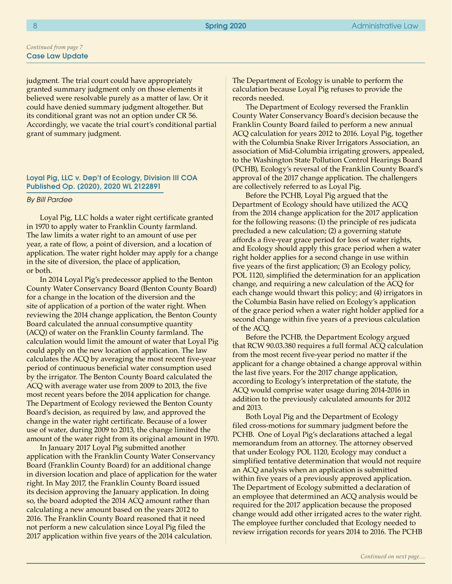judgment. The trial court could have appropriately granted summary judgment only on those elements it believed were resolvable purely as a matter of law. Or it could have denied summary judgment altogether. But its conditional grant was not an option under CR 56. Accordingly, we vacate the trial court's conditional partial grant of summary judgment.

#### Loyal Pig, LLC v. Dep't of Ecology, Division III COA Published Op. (2020), 2020 WL 2122891

#### *By Bill Pardee*

Loyal Pig, LLC holds a water right certificate granted in 1970 to apply water to Franklin County farmland. The law limits a water right to an amount of use per year, a rate of flow, a point of diversion, and a location of application. The water right holder may apply for a change in the site of diversion, the place of application, or both.

In 2014 Loyal Pig's predecessor applied to the Benton County Water Conservancy Board (Benton County Board) for a change in the location of the diversion and the site of application of a portion of the water right. When reviewing the 2014 change application, the Benton County Board calculated the annual consumptive quantity (ACQ) of water on the Franklin County farmland. The calculation would limit the amount of water that Loyal Pig could apply on the new location of application. The law calculates the ACQ by averaging the most recent five-year period of continuous beneficial water consumption used by the irrigator. The Benton County Board calculated the ACQ with average water use from 2009 to 2013, the five most recent years before the 2014 application for change. The Department of Ecology reviewed the Benton County Board's decision, as required by law, and approved the change in the water right certificate. Because of a lower use of water, during 2009 to 2013, the change limited the amount of the water right from its original amount in 1970.

In January 2017 Loyal Pig submitted another application with the Franklin County Water Conservancy Board (Franklin County Board) for an additional change in diversion location and place of application for the water right. In May 2017, the Franklin County Board issued its decision approving the January application. In doing so, the board adopted the 2014 ACQ amount rather than calculating a new amount based on the years 2012 to 2016. The Franklin County Board reasoned that it need not perform a new calculation since Loyal Pig filed the 2017 application within five years of the 2014 calculation.

The Department of Ecology is unable to perform the calculation because Loyal Pig refuses to provide the records needed.

The Department of Ecology reversed the Franklin County Water Conservancy Board's decision because the Franklin County Board failed to perform a new annual ACQ calculation for years 2012 to 2016. Loyal Pig, together with the Columbia Snake River Irrigators Association, an association of Mid-Columbia irrigating growers, appealed, to the Washington State Pollution Control Hearings Board (PCHB), Ecology's reversal of the Franklin County Board's approval of the 2017 change application. The challengers are collectively referred to as Loyal Pig.

Before the PCHB, Loyal Pig argued that the Department of Ecology should have utilized the ACQ from the 2014 change application for the 2017 application for the following reasons: (1) the principle of res judicata precluded a new calculation; (2) a governing statute affords a five-year grace period for loss of water rights, and Ecology should apply this grace period when a water right holder applies for a second change in use within five years of the first application; (3) an Ecology policy, POL 1120, simplified the determination for an application change, and requiring a new calculation of the ACQ for each change would thwart this policy; and (4) irrigators in the Columbia Basin have relied on Ecology's application of the grace period when a water right holder applied for a second change within five years of a previous calculation of the ACQ.

Before the PCHB, the Department Ecology argued that RCW 90.03.380 requires a full formal ACQ calculation from the most recent five-year period no matter if the applicant for a change obtained a change approval within the last five years. For the 2017 change application, according to Ecology's interpretation of the statute, the ACQ would comprise water usage during 2014-2016 in addition to the previously calculated amounts for 2012 and 2013.

Both Loyal Pig and the Department of Ecology filed cross-motions for summary judgment before the PCHB. One of Loyal Pig's declarations attached a legal memorandum from an attorney. The attorney observed that under Ecology POL 1120, Ecology may conduct a simplified tentative determination that would not require an ACQ analysis when an application is submitted within five years of a previously approved application. The Department of Ecology submitted a declaration of an employee that determined an ACQ analysis would be required for the 2017 application because the proposed change would add other irrigated acres to the water right. The employee further concluded that Ecology needed to review irrigation records for years 2014 to 2016. The PCHB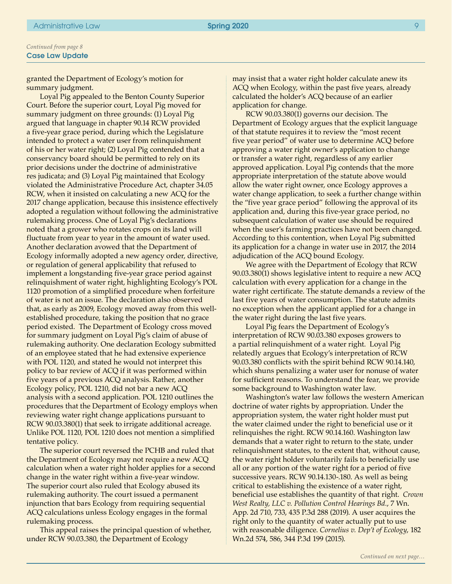granted the Department of Ecology's motion for summary judgment.

Loyal Pig appealed to the Benton County Superior Court. Before the superior court, Loyal Pig moved for summary judgment on three grounds: (1) Loyal Pig argued that language in chapter 90.14 RCW provided a five-year grace period, during which the Legislature intended to protect a water user from relinquishment of his or her water right; (2) Loyal Pig contended that a conservancy board should be permitted to rely on its prior decisions under the doctrine of administrative res judicata; and (3) Loyal Pig maintained that Ecology violated the Administrative Procedure Act, chapter 34.05 RCW, when it insisted on calculating a new ACQ for the 2017 change application, because this insistence effectively adopted a regulation without following the administrative rulemaking process. One of Loyal Pig's declarations noted that a grower who rotates crops on its land will fluctuate from year to year in the amount of water used. Another declaration avowed that the Department of Ecology informally adopted a new agency order, directive, or regulation of general applicability that refused to implement a longstanding five-year grace period against relinquishment of water right, highlighting Ecology's POL 1120 promotion of a simplified procedure when forfeiture of water is not an issue. The declaration also observed that, as early as 2009, Ecology moved away from this wellestablished procedure, taking the position that no grace period existed. The Department of Ecology cross moved for summary judgment on Loyal Pig's claim of abuse of rulemaking authority. One declaration Ecology submitted of an employee stated that he had extensive experience with POL 1120, and stated he would not interpret this policy to bar review of ACQ if it was performed within five years of a previous ACQ analysis. Rather, another Ecology policy, POL 1210, did not bar a new ACQ analysis with a second application. POL 1210 outlines the procedures that the Department of Ecology employs when reviewing water right change applications pursuant to RCW 90.03.380(1) that seek to irrigate additional acreage. Unlike POL 1120, POL 1210 does not mention a simplified tentative policy.

The superior court reversed the PCHB and ruled that the Department of Ecology may not require a new ACQ calculation when a water right holder applies for a second change in the water right within a five-year window. The superior court also ruled that Ecology abused its rulemaking authority. The court issued a permanent injunction that bars Ecology from requiring sequential ACQ calculations unless Ecology engages in the formal rulemaking process.

This appeal raises the principal question of whether, under RCW 90.03.380, the Department of Ecology

may insist that a water right holder calculate anew its ACQ when Ecology, within the past five years, already calculated the holder's ACQ because of an earlier application for change.

RCW 90.03.380(1) governs our decision. The Department of Ecology argues that the explicit language of that statute requires it to review the "most recent five year period" of water use to determine ACQ before approving a water right owner's application to change or transfer a water right, regardless of any earlier approved application. Loyal Pig contends that the more appropriate interpretation of the statute above would allow the water right owner, once Ecology approves a water change application, to seek a further change within the "five year grace period" following the approval of its application and, during this five-year grace period, no subsequent calculation of water use should be required when the user's farming practices have not been changed. According to this contention, when Loyal Pig submitted its application for a change in water use in 2017, the 2014 adjudication of the ACQ bound Ecology.

We agree with the Department of Ecology that RCW 90.03.380(1) shows legislative intent to require a new ACQ calculation with every application for a change in the water right certificate. The statute demands a review of the last five years of water consumption. The statute admits no exception when the applicant applied for a change in the water right during the last five years.

Loyal Pig fears the Department of Ecology's interpretation of RCW 90.03.380 exposes growers to a partial relinquishment of a water right. Loyal Pig relatedly argues that Ecology's interpretation of RCW 90.03.380 conflicts with the spirit behind RCW 90.14.140, which shuns penalizing a water user for nonuse of water for sufficient reasons. To understand the fear, we provide some background to Washington water law.

Washington's water law follows the western American doctrine of water rights by appropriation. Under the appropriation system, the water right holder must put the water claimed under the right to beneficial use or it relinquishes the right. RCW 90.14.160. Washington law demands that a water right to return to the state, under relinquishment statutes, to the extent that, without cause, the water right holder voluntarily fails to beneficially use all or any portion of the water right for a period of five successive years. RCW 90.14.130-.180. As well as being critical to establishing the existence of a water right, beneficial use establishes the quantity of that right. *Crown West Realty, LLC v. Pollution Control Hearings Bd.*, 7 Wn. App. 2d 710, 733, 435 P.3d 288 (2019). A user acquires the right only to the quantity of water actually put to use with reasonable diligence. *Cornelius v. Dep't of Ecology*, 182 Wn.2d 574, 586, 344 P.3d 199 (2015).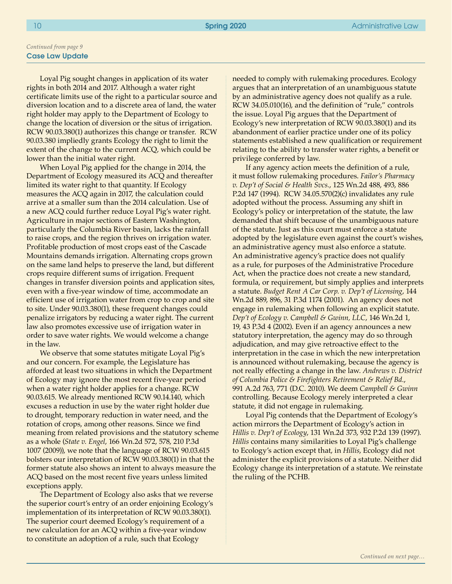Loyal Pig sought changes in application of its water rights in both 2014 and 2017. Although a water right certificate limits use of the right to a particular source and diversion location and to a discrete area of land, the water right holder may apply to the Department of Ecology to change the location of diversion or the situs of irrigation. RCW 90.03.380(1) authorizes this change or transfer. RCW 90.03.380 impliedly grants Ecology the right to limit the extent of the change to the current ACQ, which could be lower than the initial water right.

When Loyal Pig applied for the change in 2014, the Department of Ecology measured its ACQ and thereafter limited its water right to that quantity. If Ecology measures the ACQ again in 2017, the calculation could arrive at a smaller sum than the 2014 calculation. Use of a new ACQ could further reduce Loyal Pig's water right. Agriculture in major sections of Eastern Washington, particularly the Columbia River basin, lacks the rainfall to raise crops, and the region thrives on irrigation water. Profitable production of most crops east of the Cascade Mountains demands irrigation. Alternating crops grown on the same land helps to preserve the land, but different crops require different sums of irrigation. Frequent changes in transfer diversion points and application sites, even with a five-year window of time, accommodate an efficient use of irrigation water from crop to crop and site to site. Under 90.03.380(1), these frequent changes could penalize irrigators by reducing a water right. The current law also promotes excessive use of irrigation water in order to save water rights. We would welcome a change in the law.

We observe that some statutes mitigate Loyal Pig's and our concern. For example, the Legislature has afforded at least two situations in which the Department of Ecology may ignore the most recent five-year period when a water right holder applies for a change. RCW 90.03.615. We already mentioned RCW 90.14.140, which excuses a reduction in use by the water right holder due to drought, temporary reduction in water need, and the rotation of crops, among other reasons. Since we find meaning from related provisions and the statutory scheme as a whole (*State v. Engel*, 166 Wn.2d 572, 578, 210 P.3d 1007 (2009)), we note that the language of RCW 90.03.615 bolsters our interpretation of RCW 90.03.380(1) in that the former statute also shows an intent to always measure the ACQ based on the most recent five years unless limited exceptions apply.

The Department of Ecology also asks that we reverse the superior court's entry of an order enjoining Ecology's implementation of its interpretation of RCW 90.03.380(1). The superior court deemed Ecology's requirement of a new calculation for an ACQ within a five-year window to constitute an adoption of a rule, such that Ecology

needed to comply with rulemaking procedures. Ecology argues that an interpretation of an unambiguous statute by an administrative agency does not qualify as a rule. RCW 34.05.010(16), and the definition of "rule," controls the issue. Loyal Pig argues that the Department of Ecology's new interpretation of RCW 90.03.380(1) and its abandonment of earlier practice under one of its policy statements established a new qualification or requirement relating to the ability to transfer water rights, a benefit or privilege conferred by law.

If any agency action meets the definition of a rule, it must follow rulemaking procedures. *Failor's Pharmacy v. Dep't of Social & Health Svcs.*, 125 Wn.2d 488, 493, 886 P.2d 147 (1994). RCW 34.05.570(2)(c) invalidates any rule adopted without the process. Assuming any shift in Ecology's policy or interpretation of the statute, the law demanded that shift because of the unambiguous nature of the statute. Just as this court must enforce a statute adopted by the legislature even against the court's wishes, an administrative agency must also enforce a statute. An administrative agency's practice does not qualify as a rule, for purposes of the Administrative Procedure Act, when the practice does not create a new standard, formula, or requirement, but simply applies and interprets a statute. *Budget Rent A Car Corp. v. Dep't of Licensing*, 144 Wn.2d 889, 896, 31 P.3d 1174 (2001). An agency does not engage in rulemaking when following an explicit statute. *Dep't of Ecology v. Campbell & Gwinn, LLC*, 146 Wn.2d 1, 19, 43 P.3d 4 (2002). Even if an agency announces a new statutory interpretation, the agency may do so through adjudication, and may give retroactive effect to the interpretation in the case in which the new interpretation is announced without rulemaking, because the agency is not really effecting a change in the law. *Andrews v. District of Columbia Police & Firefighters Retirement & Relief Bd.*, 991 A.2d 763, 771 (D.C. 2010). We deem *Campbell & Gwinn*  controlling. Because Ecology merely interpreted a clear statute, it did not engage in rulemaking.

Loyal Pig contends that the Department of Ecology's action mirrors the Department of Ecology's action in *Hillis v. Dep't of Ecology*, 131 Wn.2d 373, 932 P.2d 139 (1997). *Hillis* contains many similarities to Loyal Pig's challenge to Ecology's action except that, in *Hillis*, Ecology did not administer the explicit provisions of a statute. Neither did Ecology change its interpretation of a statute. We reinstate the ruling of the PCHB.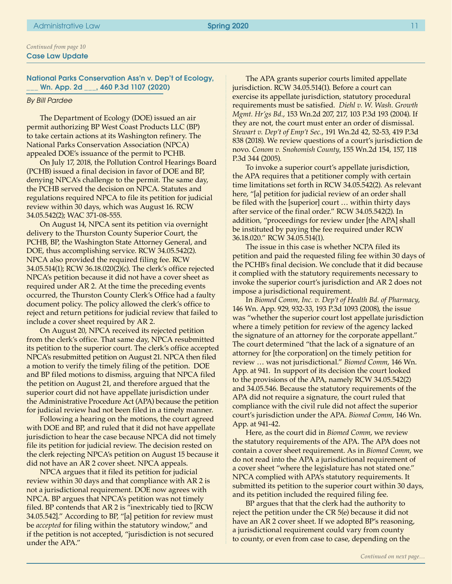National Parks Conservation Ass'n v. Dep't of Ecology, \_\_\_ Wn. App. 2d \_\_\_, 460 P.3d 1107 (2020)

#### *By Bill Pardee*

The Department of Ecology (DOE) issued an air permit authorizing BP West Coast Products LLC (BP) to take certain actions at its Washington refinery. The National Parks Conservation Association (NPCA) appealed DOE's issuance of the permit to PCHB.

On July 17, 2018, the Pollution Control Hearings Board (PCHB) issued a final decision in favor of DOE and BP, denying NPCA's challenge to the permit. The same day, the PCHB served the decision on NPCA. Statutes and regulations required NPCA to file its petition for judicial review within 30 days, which was August 16. RCW 34.05.542(2); WAC 371-08-555.

On August 14, NPCA sent its petition via overnight delivery to the Thurston County Superior Court, the PCHB, BP, the Washington State Attorney General, and DOE, thus accomplishing service. RCW 34.05.542(2). NPCA also provided the required filing fee. RCW 34.05.514(1); RCW 36.18.020(2)(c). The clerk's office rejected NPCA's petition because it did not have a cover sheet as required under AR 2. At the time the preceding events occurred, the Thurston County Clerk's Office had a faulty document policy. The policy allowed the clerk's office to reject and return petitions for judicial review that failed to include a cover sheet required by AR 2.

On August 20, NPCA received its rejected petition from the clerk's office. That same day, NPCA resubmitted its petition to the superior court. The clerk's office accepted NPCA's resubmitted petition on August 21. NPCA then filed a motion to verify the timely filing of the petition. DOE and BP filed motions to dismiss, arguing that NPCA filed the petition on August 21, and therefore argued that the superior court did not have appellate jurisdiction under the Administrative Procedure Act (APA) because the petition for judicial review had not been filed in a timely manner.

Following a hearing on the motions, the court agreed with DOE and BP, and ruled that it did not have appellate jurisdiction to hear the case because NPCA did not timely file its petition for judicial review. The decision rested on the clerk rejecting NPCA's petition on August 15 because it did not have an AR 2 cover sheet. NPCA appeals.

NPCA argues that it filed its petition for judicial review within 30 days and that compliance with AR 2 is not a jurisdictional requirement. DOE now agrees with NPCA. BP argues that NPCA's petition was not timely filed. BP contends that AR 2 is "inextricably tied to [RCW 34.05.542]." According to BP, "[a] petition for review must be *accepted* for filing within the statutory window," and if the petition is not accepted, "jurisdiction is not secured under the APA."

The APA grants superior courts limited appellate jurisdiction. RCW 34.05.514(1). Before a court can exercise its appellate jurisdiction, statutory procedural requirements must be satisfied. *Diehl v. W. Wash. Growth Mgmt. Hr'gs Bd.*, 153 Wn.2d 207, 217, 103 P.3d 193 (2004). If they are not, the court must enter an order of dismissal. *Stewart v. Dep't of Emp't Sec.*, 191 Wn.2d 42, 52-53, 419 P.3d 838 (2018). We review questions of a court's jurisdiction de novo. *Conom v. Snohomish County*, 155 Wn.2d 154, 157, 118 P.3d 344 (2005).

To invoke a superior court's appellate jurisdiction, the APA requires that a petitioner comply with certain time limitations set forth in RCW 34.05.542(2). As relevant here, "[a] petition for judicial review of an order shall be filed with the [superior] court … within thirty days after service of the final order." RCW 34.05.542(2). In addition, "proceedings for review under [the APA] shall be instituted by paying the fee required under RCW 36.18.020." RCW 34.05.514(1).

The issue in this case is whether NCPA filed its petition and paid the requested filing fee within 30 days of the PCHB's final decision. We conclude that it did because it complied with the statutory requirements necessary to invoke the superior court's jurisdiction and AR 2 does not impose a jurisdictional requirement.

In *Biomed Comm, Inc. v. Dep't of Health Bd. of Pharmacy*, 146 Wn. App. 929, 932-33, 193 P.3d 1093 (2008), the issue was "whether the superior court lost appellate jurisdiction where a timely petition for review of the agency lacked the signature of an attorney for the corporate appellant." The court determined "that the lack of a signature of an attorney for [the corporation] on the timely petition for review … was not jurisdictional." *Biomed Comm*, 146 Wn. App. at 941. In support of its decision the court looked to the provisions of the APA, namely RCW 34.05.542(2) and 34.05.546. Because the statutory requirements of the APA did not require a signature, the court ruled that compliance with the civil rule did not affect the superior court's jurisdiction under the APA. *Biomed Comm*, 146 Wn. App. at 941-42.

Here, as the court did in *Biomed Comm*, we review the statutory requirements of the APA. The APA does not contain a cover sheet requirement. As in *Biomed Comm*, we do not read into the APA a jurisdictional requirement of a cover sheet "where the legislature has not stated one." NPCA complied with APA's statutory requirements. It submitted its petition to the superior court within 30 days, and its petition included the required filing fee.

BP argues that that the clerk had the authority to reject the petition under the CR 5(e) because it did not have an AR 2 cover sheet. If we adopted BP's reasoning, a jurisdictional requirement could vary from county to county, or even from case to case, depending on the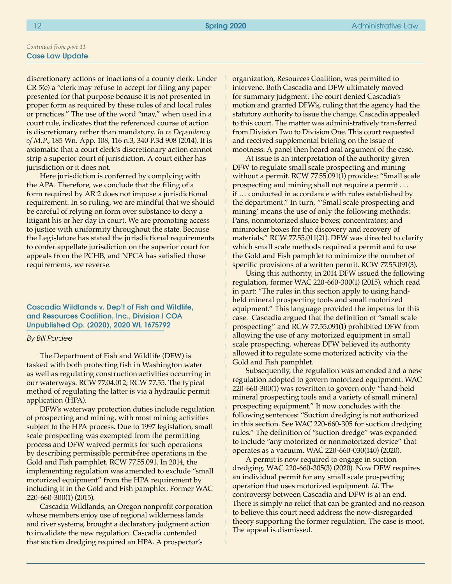discretionary actions or inactions of a county clerk. Under CR 5(e) a "clerk may refuse to accept for filing any paper presented for that purpose because it is not presented in proper form as required by these rules of and local rules or practices." The use of the word "may," when used in a court rule, indicates that the referenced course of action is discretionary rather than mandatory. *In re Dependency of M.P.*, 185 Wn. App. 108, 116 n.3, 340 P.3d 908 (2014). It is axiomatic that a court clerk's discretionary action cannot strip a superior court of jurisdiction. A court either has jurisdiction or it does not.

Here jurisdiction is conferred by complying with the APA. Therefore, we conclude that the filing of a form required by AR 2 does not impose a jurisdictional requirement. In so ruling, we are mindful that we should be careful of relying on form over substance to deny a litigant his or her day in court. We are promoting access to justice with uniformity throughout the state. Because the Legislature has stated the jurisdictional requirements to confer appellate jurisdiction on the superior court for appeals from the PCHB, and NPCA has satisfied those requirements, we reverse.

Cascadia Wildlands v. Dep't of Fish and Wildlife, and Resources Coalition, Inc., Division I COA Unpublished Op. (2020), 2020 WL 1675792

#### *By Bill Pardee*

The Department of Fish and Wildlife (DFW) is tasked with both protecting fish in Washington water as well as regulating construction activities occurring in our waterways. RCW 77.04.012; RCW 77.55. The typical method of regulating the latter is via a hydraulic permit application (HPA).

DFW's waterway protection duties include regulation of prospecting and mining, with most mining activities subject to the HPA process. Due to 1997 legislation, small scale prospecting was exempted from the permitting process and DFW waived permits for such operations by describing permissible permit-free operations in the Gold and Fish pamphlet. RCW 77.55.091. In 2014, the implementing regulation was amended to exclude "small motorized equipment" from the HPA requirement by including it in the Gold and Fish pamphlet. Former WAC 220-660-300(1) (2015).

Cascadia Wildlands, an Oregon nonprofit corporation whose members enjoy use of regional wilderness lands and river systems, brought a declaratory judgment action to invalidate the new regulation. Cascadia contended that suction dredging required an HPA. A prospector's

organization, Resources Coalition, was permitted to intervene. Both Cascadia and DFW ultimately moved for summary judgment. The court denied Cascadia's motion and granted DFW's, ruling that the agency had the statutory authority to issue the change. Cascadia appealed to this court. The matter was administratively transferred from Division Two to Division One. This court requested and received supplemental briefing on the issue of mootness. A panel then heard oral argument of the case.

At issue is an interpretation of the authority given DFW to regulate small scale prospecting and mining without a permit. RCW 77.55.091(1) provides: "Small scale prospecting and mining shall not require a permit . . . if … conducted in accordance with rules established by the department." In turn, "'Small scale prospecting and mining' means the use of only the following methods: Pans, nonmotorized sluice boxes; concentrators; and minirocker boxes for the discovery and recovery of materials." RCW 77.55.011(21). DFW was directed to clarify which small scale methods required a permit and to use the Gold and Fish pamphlet to minimize the number of specific provisions of a written permit. RCW 77.55.091(3).

Using this authority, in 2014 DFW issued the following regulation, former WAC 220-660-300(1) (2015), which read in part: "The rules in this section apply to using handheld mineral prospecting tools and small motorized equipment." This language provided the impetus for this case. Cascadia argued that the definition of "small scale prospecting" and RCW 77.55.091(1) prohibited DFW from allowing the use of any motorized equipment in small scale prospecting, whereas DFW believed its authority allowed it to regulate some motorized activity via the Gold and Fish pamphlet.

Subsequently, the regulation was amended and a new regulation adopted to govern motorized equipment. WAC 220-660-300(1) was rewritten to govern only "hand-held mineral prospecting tools and a variety of small mineral prospecting equipment." It now concludes with the following sentences: "Suction dredging is not authorized in this section. See WAC 220-660-305 for suction dredging rules." The definition of "suction dredge" was expanded to include "any motorized or nonmotorized device" that operates as a vacuum. WAC 220-660-030(140) (2020).

A permit is now required to engage in suction dredging. WAC 220-660-305(3) (2020). Now DFW requires an individual permit for any small scale prospecting operation that uses motorized equipment. *Id.* The controversy between Cascadia and DFW is at an end. There is simply no relief that can be granted and no reason to believe this court need address the now-disregarded theory supporting the former regulation. The case is moot. The appeal is dismissed.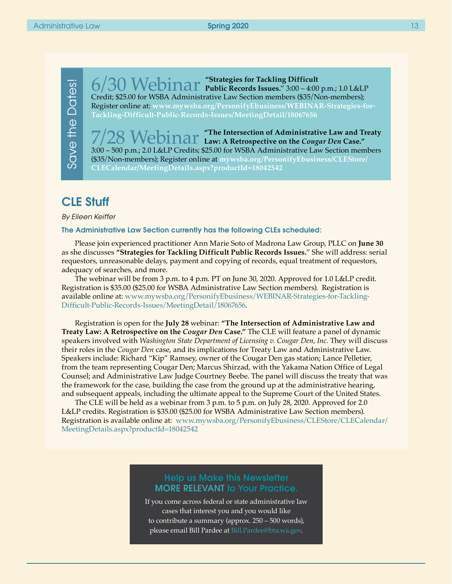Save the Dates! Save the Dates!

6/30 Webinar **"Strategies for Tackling Difficult Public Records Issues.**" 3:00 – 4:00 p.m.; 1.0 L&LP Credit; \$25.00 for WSBA Administrative Law Section members (\$35/Non-members); Register online at: **[www.mywsba.org/PersonifyEbusiness/WEBINAR-Strategies-for-](https://www.mywsba.org/PersonifyEbusiness/WEBINAR-Strategies-for-Tackling-Difficult-Public-Records-Issues/MeetingDetail/18067656)[Tackling-Difficult-Public-Records-Issues/MeetingDetail/18067656](https://www.mywsba.org/PersonifyEbusiness/WEBINAR-Strategies-for-Tackling-Difficult-Public-Records-Issues/MeetingDetail/18067656)**

"The Intersection of Administrative Law and Treaty **Law: A Retrospective on the** *Cougar Den* **Case."** 3:00 – 500 p.m.; 2.0 L&LP Credits; \$25.00 for WSBA Administrative Law Section members (\$35/Non-members); Register online at **[mywsba.org/PersonifyEbusiness/CLEStore/](https://www.mywsba.org/PersonifyEbusiness/CLEStore/CLECalendar/MeetingDetails.aspx?productId=18042542) [CLECalendar/MeetingDetails.aspx?productId=18042542](https://www.mywsba.org/PersonifyEbusiness/CLEStore/CLECalendar/MeetingDetails.aspx?productId=18042542)**

### CLE Stuff

*By Eileen Keiffer*

#### The Administrative Law Section currently has the following CLEs scheduled:

Please join experienced practitioner Ann Marie Soto of Madrona Law Group, PLLC on **June 30**  as she discusses **"Strategies for Tackling Difficult Public Records Issues.**" She will address: serial requestors, unreasonable delays, payment and copying of records, equal treatment of requestors, adequacy of searches, and more.

The webinar will be from 3 p.m. to 4 p.m. PT on June 30, 2020. Approved for 1.0 L&LP credit. Registration is \$35.00 (\$25.00 for WSBA Administrative Law Section members). Registration is available online at: [www.mywsba.org/PersonifyEbusiness/WEBINAR-Strategies-for-Tackling-](https://www.mywsba.org/PersonifyEbusiness/WEBINAR-Strategies-for-Tackling-Difficult-Public-Records-Issues/MeetingDetail/18067656)[Difficult-Public-Records-Issues/MeetingDetail/18067656.](https://www.mywsba.org/PersonifyEbusiness/WEBINAR-Strategies-for-Tackling-Difficult-Public-Records-Issues/MeetingDetail/18067656)

Registration is open for the **July 28** webinar: **"The Intersection of Administrative Law and Treaty Law: A Retrospective on the** *Cougar Den* **Case."** The CLE will feature a panel of dynamic speakers involved with *Washington State Department of Licensing v. Cougar Den, Inc.* They will discuss their roles in the *Cougar Den* case, and its implications for Treaty Law and Administrative Law. Speakers include: Richard "Kip" Ramsey, owner of the Cougar Den gas station; Lance Pelletier, from the team representing Cougar Den; Marcus Shirzad, with the Yakama Nation Office of Legal Counsel; and Administrative Law Judge Courtney Beebe. The panel will discuss the treaty that was the framework for the case, building the case from the ground up at the administrative hearing, and subsequent appeals, including the ultimate appeal to the Supreme Court of the United States.

The CLE will be held as a webinar from 3 p.m. to 5 p.m. on July 28, 2020. Approved for 2.0 L&LP credits. Registration is \$35.00 (\$25.00 for WSBA Administrative Law Section members). Registration is available online at: [www.mywsba.org/PersonifyEbusiness/CLEStore/CLECalendar/](https://www.mywsba.org/PersonifyEbusiness/CLEStore/CLECalendar/MeetingDetails.aspx?productId=18042542) [MeetingDetails.aspx?productId=18042542](https://www.mywsba.org/PersonifyEbusiness/CLEStore/CLECalendar/MeetingDetails.aspx?productId=18042542)

### Help us Make this Newsletter MORE RELEVANT to Your Practice.

If you come across federal or state administrative law cases that interest you and you would like to contribute a summary (approx. 250 – 500 words), please email Bill Pardee at [Bill.Pardee@bta.wa.gov](mailto:Bill.Pardee%40bta.wa.gov?subject=).